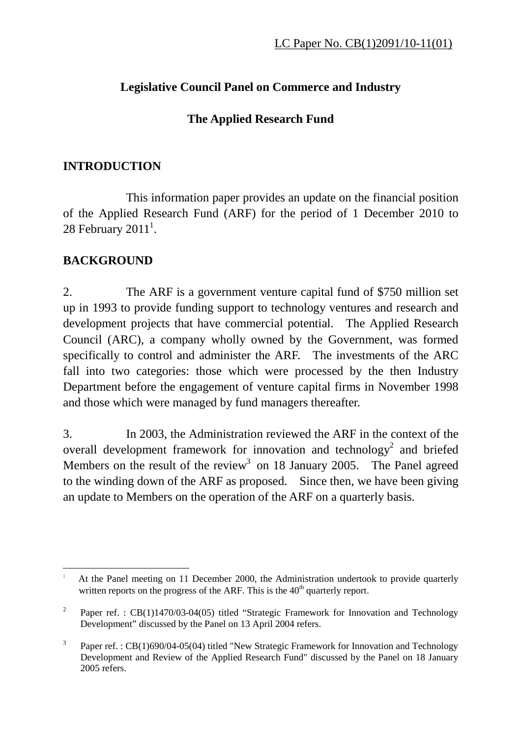## **Legislative Council Panel on Commerce and Industry**

## **The Applied Research Fund**

## **INTRODUCTION**

 This information paper provides an update on the financial position of the Applied Research Fund (ARF) for the period of 1 December 2010 to 28 February 2011<sup>1</sup>.

## **BACKGROUND**

 $\overline{a}$ 

2. The ARF is a government venture capital fund of \$750 million set up in 1993 to provide funding support to technology ventures and research and development projects that have commercial potential. The Applied Research Council (ARC), a company wholly owned by the Government, was formed specifically to control and administer the ARF. The investments of the ARC fall into two categories: those which were processed by the then Industry Department before the engagement of venture capital firms in November 1998 and those which were managed by fund managers thereafter.

3. In 2003, the Administration reviewed the ARF in the context of the overall development framework for innovation and technology<sup>2</sup> and briefed Members on the result of the review<sup>3</sup> on 18 January 2005. The Panel agreed to the winding down of the ARF as proposed. Since then, we have been giving an update to Members on the operation of the ARF on a quarterly basis.

<sup>1</sup> At the Panel meeting on 11 December 2000, the Administration undertook to provide quarterly written reports on the progress of the ARF. This is the  $40<sup>th</sup>$  quarterly report.

<sup>2</sup> Paper ref. : CB(1)1470/03-04(05) titled "Strategic Framework for Innovation and Technology Development" discussed by the Panel on 13 April 2004 refers.

<sup>3</sup> Paper ref.: CB(1)690/04-05(04) titled "New Strategic Framework for Innovation and Technology Development and Review of the Applied Research Fund" discussed by the Panel on 18 January 2005 refers.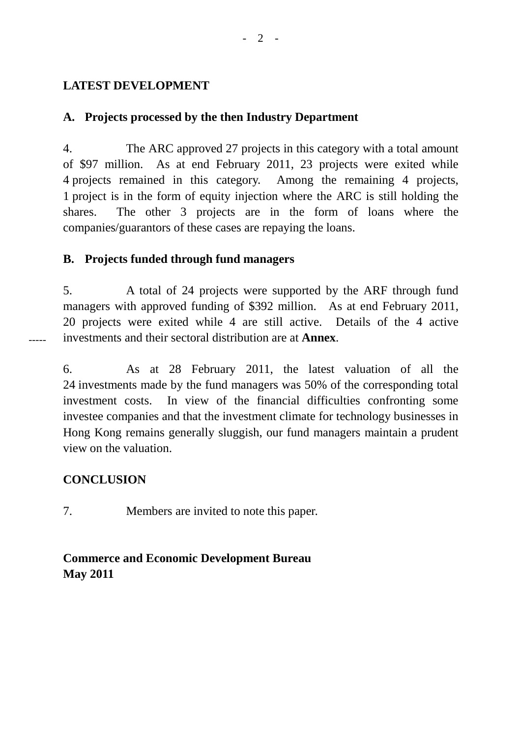#### **LATEST DEVELOPMENT**

#### **A. Projects processed by the then Industry Department**

4. The ARC approved 27 projects in this category with a total amount of \$97 million. As at end February 2011, 23 projects were exited while 4 projects remained in this category. Among the remaining 4 projects, 1 project is in the form of equity injection where the ARC is still holding the shares. The other 3 projects are in the form of loans where the companies/guarantors of these cases are repaying the loans.

#### **B. Projects funded through fund managers**

5. A total of 24 projects were supported by the ARF through fund managers with approved funding of \$392 million. As at end February 2011, 20 projects were exited while 4 are still active. Details of the 4 active investments and their sectoral distribution are at **Annex**.

6. As at 28 February 2011, the latest valuation of all the 24 investments made by the fund managers was 50% of the corresponding total investment costs. In view of the financial difficulties confronting some investee companies and that the investment climate for technology businesses in Hong Kong remains generally sluggish, our fund managers maintain a prudent view on the valuation.

### **CONCLUSION**

-----

7. Members are invited to note this paper.

## **Commerce and Economic Development Bureau May 2011**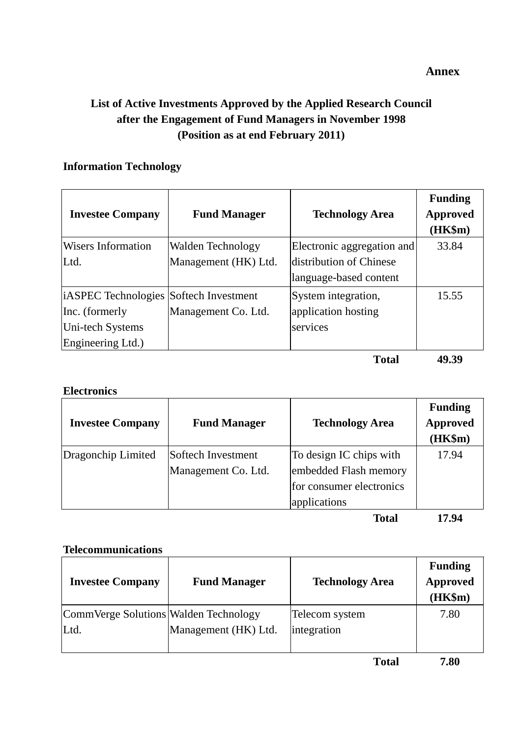## **List of Active Investments Approved by the Applied Research Council after the Engagement of Fund Managers in November 1998 (Position as at end February 2011)**

#### **Information Technology**

| <b>Investee Company</b>                       | <b>Fund Manager</b>  | <b>Technology Area</b>     | <b>Funding</b><br><b>Approved</b><br>$(HK\$ m $)$ |
|-----------------------------------------------|----------------------|----------------------------|---------------------------------------------------|
| <b>Wisers Information</b>                     | Walden Technology    | Electronic aggregation and | 33.84                                             |
| Ltd.                                          | Management (HK) Ltd. | distribution of Chinese    |                                                   |
|                                               |                      | language-based content     |                                                   |
| <i>iASPEC</i> Technologies Softech Investment |                      | System integration,        | 15.55                                             |
| Inc. (formerly                                | Management Co. Ltd.  | application hosting        |                                                   |
| Uni-tech Systems                              |                      | services                   |                                                   |
| Engineering Ltd.)                             |                      |                            |                                                   |
|                                               |                      | <b>Total</b>               | 49.39                                             |

#### **Electronics**

| <b>Investee Company</b> | <b>Fund Manager</b>                       | <b>Technology Area</b>                                                                       | <b>Funding</b><br><b>Approved</b><br>(HK\$m) |
|-------------------------|-------------------------------------------|----------------------------------------------------------------------------------------------|----------------------------------------------|
| Dragonchip Limited      | Softech Investment<br>Management Co. Ltd. | To design IC chips with<br>embedded Flash memory<br>for consumer electronics<br>applications | 17.94                                        |

**Total 17.94** 

#### **Telecommunications**

| <b>Investee Company</b>               | <b>Fund Manager</b>  | <b>Technology Area</b> | <b>Funding</b><br><b>Approved</b><br>(HK\$m) |
|---------------------------------------|----------------------|------------------------|----------------------------------------------|
| CommVerge Solutions Walden Technology |                      | Telecom system         | 7.80                                         |
| Ltd.                                  | Management (HK) Ltd. | integration            |                                              |
|                                       |                      |                        |                                              |

 **Total 7.80** 

#### **Annex**